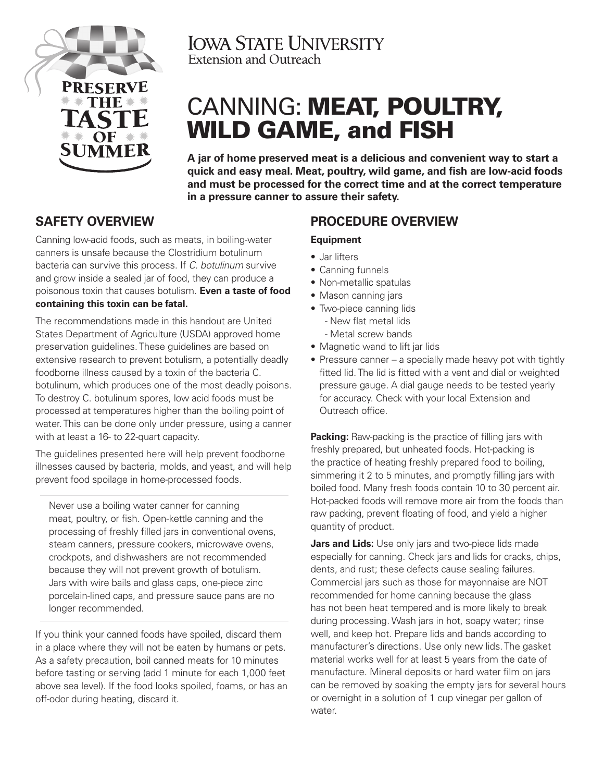

**IOWA STATE UNIVERSITY** Extension and Outreach

# CANNING: MEAT, POULTRY, WILD GAME, and FISH

**A jar of home preserved meat is a delicious and convenient way to start a quick and easy meal. Meat, poultry, wild game, and fish are low-acid foods and must be processed for the correct time and at the correct temperature in a pressure canner to assure their safety.** 

# **SAFETY OVERVIEW**

Canning low-acid foods, such as meats, in boiling-water canners is unsafe because the Clostridium botulinum bacteria can survive this process. If *C. botulinum* survive and grow inside a sealed jar of food, they can produce a poisonous toxin that causes botulism. **Even a taste of food containing this toxin can be fatal.**

The recommendations made in this handout are United States Department of Agriculture (USDA) approved home preservation guidelines. These guidelines are based on extensive research to prevent botulism, a potentially deadly foodborne illness caused by a toxin of the bacteria C. botulinum, which produces one of the most deadly poisons. To destroy C. botulinum spores, low acid foods must be processed at temperatures higher than the boiling point of water. This can be done only under pressure, using a canner with at least a 16- to 22-quart capacity.

The guidelines presented here will help prevent foodborne illnesses caused by bacteria, molds, and yeast, and will help prevent food spoilage in home-processed foods.

Never use a boiling water canner for canning meat, poultry, or fish. Open-kettle canning and the processing of freshly filled jars in conventional ovens, steam canners, pressure cookers, microwave ovens, crockpots, and dishwashers are not recommended because they will not prevent growth of botulism. Jars with wire bails and glass caps, one-piece zinc porcelain-lined caps, and pressure sauce pans are no longer recommended.

If you think your canned foods have spoiled, discard them in a place where they will not be eaten by humans or pets. As a safety precaution, boil canned meats for 10 minutes before tasting or serving (add 1 minute for each 1,000 feet above sea level). If the food looks spoiled, foams, or has an off-odor during heating, discard it.

# **PROCEDURE OVERVIEW**

## **Equipment**

- Jar lifters
- Canning funnels
- Non-metallic spatulas
- Mason canning jars
- Two-piece canning lids - New flat metal lids - Metal screw bands
- Magnetic wand to lift jar lids
- Pressure canner a specially made heavy pot with tightly fitted lid. The lid is fitted with a vent and dial or weighted pressure gauge. A dial gauge needs to be tested yearly for accuracy. Check with your local Extension and Outreach office.

**Packing:** Raw-packing is the practice of filling jars with freshly prepared, but unheated foods. Hot-packing is the practice of heating freshly prepared food to boiling, simmering it 2 to 5 minutes, and promptly filling jars with boiled food. Many fresh foods contain 10 to 30 percent air. Hot-packed foods will remove more air from the foods than raw packing, prevent floating of food, and yield a higher quantity of product.

**Jars and Lids:** Use only jars and two-piece lids made especially for canning. Check jars and lids for cracks, chips, dents, and rust; these defects cause sealing failures. Commercial jars such as those for mayonnaise are NOT recommended for home canning because the glass has not been heat tempered and is more likely to break during processing. Wash jars in hot, soapy water; rinse well, and keep hot. Prepare lids and bands according to manufacturer's directions. Use only new lids. The gasket material works well for at least 5 years from the date of manufacture. Mineral deposits or hard water film on jars can be removed by soaking the empty jars for several hours or overnight in a solution of 1 cup vinegar per gallon of water.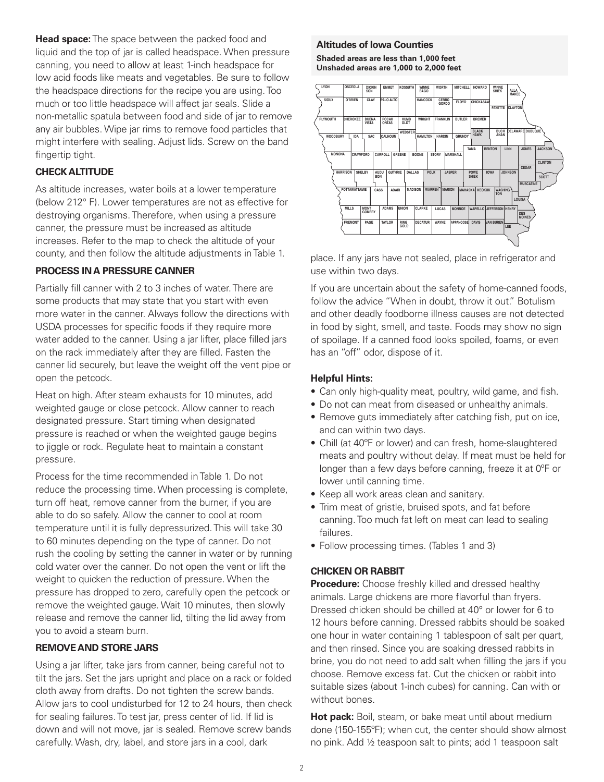**Head space:** The space between the packed food and liquid and the top of jar is called headspace. When pressure canning, you need to allow at least 1-inch headspace for low acid foods like meats and vegetables. Be sure to follow the headspace directions for the recipe you are using. Too much or too little headspace will affect jar seals. Slide a non-metallic spatula between food and side of jar to remove any air bubbles. Wipe jar rims to remove food particles that might interfere with sealing. Adjust lids. Screw on the band fingertip tight.

#### **CHECK ALTITUDE**

As altitude increases, water boils at a lower temperature (below 212° F). Lower temperatures are not as effective for destroying organisms. Therefore, when using a pressure canner, the pressure must be increased as altitude increases. Refer to the map to check the altitude of your county, and then follow the altitude adjustments in Table 1.

#### **PROCESS IN A PRESSURE CANNER**

Partially fill canner with 2 to 3 inches of water. There are some products that may state that you start with even more water in the canner. Always follow the directions with USDA processes for specific foods if they require more water added to the canner. Using a jar lifter, place filled jars on the rack immediately after they are filled. Fasten the canner lid securely, but leave the weight off the vent pipe or open the petcock.

Heat on high. After steam exhausts for 10 minutes, add weighted gauge or close petcock. Allow canner to reach designated pressure. Start timing when designated pressure is reached or when the weighted gauge begins to jiggle or rock. Regulate heat to maintain a constant pressure.

Process for the time recommended in Table 1. Do not reduce the processing time. When processing is complete, turn off heat, remove canner from the burner, if you are able to do so safely. Allow the canner to cool at room temperature until it is fully depressurized. This will take 30 to 60 minutes depending on the type of canner. Do not rush the cooling by setting the canner in water or by running cold water over the canner. Do not open the vent or lift the weight to quicken the reduction of pressure. When the pressure has dropped to zero, carefully open the petcock or remove the weighted gauge. Wait 10 minutes, then slowly release and remove the canner lid, tilting the lid away from you to avoid a steam burn.

#### **REMOVE AND STORE JARS**

Using a jar lifter, take jars from canner, being careful not to tilt the jars. Set the jars upright and place on a rack or folded cloth away from drafts. Do not tighten the screw bands. Allow jars to cool undisturbed for 12 to 24 hours, then check for sealing failures. To test jar, press center of lid. If lid is down and will not move, jar is sealed. Remove screw bands carefully. Wash, dry, label, and store jars in a cool, dark

#### **Altitudes of Iowa Counties**

**Shaded areas are less than 1,000 feet Unshaded areas are 1,000 to 2,000 feet**



place. If any jars have not sealed, place in refrigerator and use within two days.

If you are uncertain about the safety of home-canned foods, follow the advice "When in doubt, throw it out." Botulism and other deadly foodborne illness causes are not detected in food by sight, smell, and taste. Foods may show no sign of spoilage. If a canned food looks spoiled, foams, or even has an "off" odor, dispose of it.

#### **Helpful Hints:**

- Can only high-quality meat, poultry, wild game, and fish.
- Do not can meat from diseased or unhealthy animals.
- Remove guts immediately after catching fish, put on ice, and can within two days.
- Chill (at 40ºF or lower) and can fresh, home-slaughtered meats and poultry without delay. If meat must be held for longer than a few days before canning, freeze it at 0ºF or lower until canning time.
- Keep all work areas clean and sanitary.
- Trim meat of gristle, bruised spots, and fat before canning. Too much fat left on meat can lead to sealing failures.
- Follow processing times. (Tables 1 and 3)

#### **CHICKEN OR RABBIT**

**Procedure:** Choose freshly killed and dressed healthy animals. Large chickens are more flavorful than fryers. Dressed chicken should be chilled at 40° or lower for 6 to 12 hours before canning. Dressed rabbits should be soaked one hour in water containing 1 tablespoon of salt per quart, and then rinsed. Since you are soaking dressed rabbits in brine, you do not need to add salt when filling the jars if you choose. Remove excess fat. Cut the chicken or rabbit into suitable sizes (about 1-inch cubes) for canning. Can with or without bones.

Hot pack: Boil, steam, or bake meat until about medium done (150-155ºF); when cut, the center should show almost no pink. Add ½ teaspoon salt to pints; add 1 teaspoon salt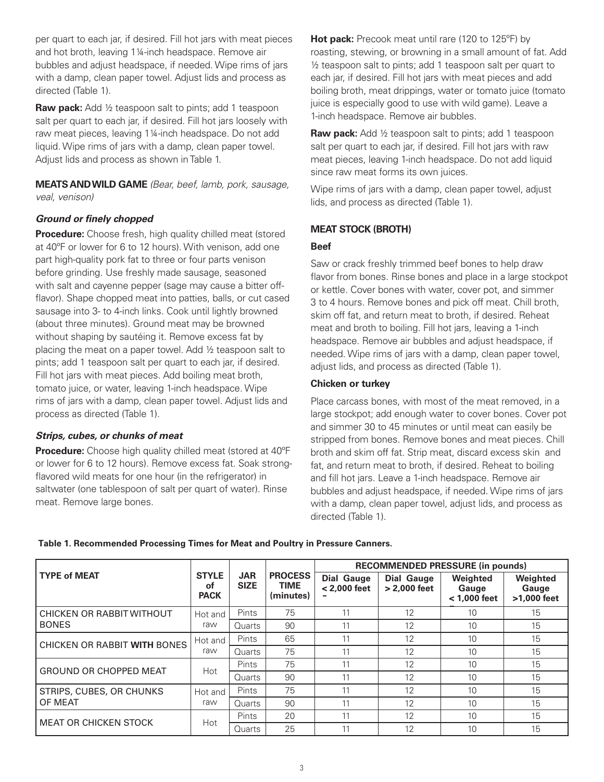per quart to each jar, if desired. Fill hot jars with meat pieces and hot broth, leaving 1¼-inch headspace. Remove air bubbles and adjust headspace, if needed. Wipe rims of jars with a damp, clean paper towel. Adjust lids and process as directed (Table 1).

**Raw pack:** Add 1/2 teaspoon salt to pints; add 1 teaspoon salt per quart to each jar, if desired. Fill hot jars loosely with raw meat pieces, leaving 1¼-inch headspace. Do not add liquid. Wipe rims of jars with a damp, clean paper towel. Adjust lids and process as shown in Table 1.

**MEATS AND WILD GAME** *(Bear, beef, lamb, pork, sausage, veal, venison)*

#### *Ground or finely chopped*

**Procedure:** Choose fresh, high quality chilled meat (stored at 40ºF or lower for 6 to 12 hours). With venison, add one part high-quality pork fat to three or four parts venison before grinding. Use freshly made sausage, seasoned with salt and cayenne pepper (sage may cause a bitter offflavor). Shape chopped meat into patties, balls, or cut cased sausage into 3- to 4-inch links. Cook until lightly browned (about three minutes). Ground meat may be browned without shaping by sautéing it. Remove excess fat by placing the meat on a paper towel. Add ½ teaspoon salt to pints; add 1 teaspoon salt per quart to each jar, if desired. Fill hot jars with meat pieces. Add boiling meat broth, tomato juice, or water, leaving 1-inch headspace. Wipe rims of jars with a damp, clean paper towel. Adjust lids and process as directed (Table 1).

#### *Strips, cubes, or chunks of meat*

**Procedure:** Choose high quality chilled meat (stored at 40ºF or lower for 6 to 12 hours). Remove excess fat. Soak strongflavored wild meats for one hour (in the refrigerator) in saltwater (one tablespoon of salt per quart of water). Rinse meat. Remove large bones.

**Hot pack:** Precook meat until rare (120 to 125°F) by roasting, stewing, or browning in a small amount of fat. Add ½ teaspoon salt to pints; add 1 teaspoon salt per quart to each jar, if desired. Fill hot jars with meat pieces and add boiling broth, meat drippings, water or tomato juice (tomato juice is especially good to use with wild game). Leave a 1-inch headspace. Remove air bubbles.

**Raw pack:** Add ½ teaspoon salt to pints; add 1 teaspoon salt per quart to each jar, if desired. Fill hot jars with raw meat pieces, leaving 1-inch headspace. Do not add liquid since raw meat forms its own juices.

Wipe rims of jars with a damp, clean paper towel, adjust lids, and process as directed (Table 1).

#### **MEAT STOCK (BROTH)**

#### **Beef**

Saw or crack freshly trimmed beef bones to help draw flavor from bones. Rinse bones and place in a large stockpot or kettle. Cover bones with water, cover pot, and simmer 3 to 4 hours. Remove bones and pick off meat. Chill broth, skim off fat, and return meat to broth, if desired. Reheat meat and broth to boiling. Fill hot jars, leaving a 1-inch headspace. Remove air bubbles and adjust headspace, if needed. Wipe rims of jars with a damp, clean paper towel, adjust lids, and process as directed (Table 1).

#### **Chicken or turkey**

Place carcass bones, with most of the meat removed, in a large stockpot; add enough water to cover bones. Cover pot and simmer 30 to 45 minutes or until meat can easily be stripped from bones. Remove bones and meat pieces. Chill broth and skim off fat. Strip meat, discard excess skin and fat, and return meat to broth, if desired. Reheat to boiling and fill hot jars. Leave a 1-inch headspace. Remove air bubbles and adjust headspace, if needed. Wipe rims of jars with a damp, clean paper towel, adjust lids, and process as directed (Table 1).

|  | Table 1. Recommended Processing Times for Meat and Poultry in Pressure Canners. |  |  |  |  |
|--|---------------------------------------------------------------------------------|--|--|--|--|
|--|---------------------------------------------------------------------------------|--|--|--|--|

|                               |                                   | <b>JAR</b><br><b>SIZE</b> | <b>PROCESS</b><br><b>TIME</b><br>(minutes) | <b>RECOMMENDED PRESSURE (in pounds)</b> |                                   |                                     |                                  |  |
|-------------------------------|-----------------------------------|---------------------------|--------------------------------------------|-----------------------------------------|-----------------------------------|-------------------------------------|----------------------------------|--|
| <b>TYPE of MEAT</b>           | <b>STYLE</b><br>of<br><b>PACK</b> |                           |                                            | <b>Dial Gauge</b><br>$< 2.000$ feet     | <b>Dial Gauge</b><br>> 2,000 feet | Weighted<br>Gauge<br>$<$ 1.000 feet | Weighted<br>Gauge<br>>1,000 feet |  |
| CHICKEN OR RABBIT WITHOUT     | Hot and                           | Pints                     | 75                                         | 11                                      | 12                                | 10                                  | 15                               |  |
| <b>BONES</b>                  | raw                               | Quarts                    | 90                                         | 11                                      | 12                                | 10                                  | 15                               |  |
| CHICKEN OR RABBIT WITH BONES  | Hot and                           | Pints                     | 65                                         | 11                                      | 12                                | 10                                  | 15                               |  |
|                               | raw                               | Quarts                    | 75                                         | 11                                      | 12                                | 10                                  | 15                               |  |
| <b>GROUND OR CHOPPED MEAT</b> | Hot                               | Pints                     | 75                                         | 11                                      | 12                                | 10                                  | 15                               |  |
|                               |                                   | Quarts                    | 90                                         | 11                                      | 12                                | 10                                  | 15                               |  |
| STRIPS, CUBES, OR CHUNKS      | Hot and                           | <b>Pints</b>              | 75                                         | 11                                      | 12                                | 10                                  | 15                               |  |
| OF MEAT                       | raw                               | Quarts                    | 90                                         | 11                                      | 12                                | 10                                  | 15                               |  |
| <b>MEAT OR CHICKEN STOCK</b>  | Hot                               | <b>Pints</b>              | 20                                         | 11                                      | 12                                | 10                                  | 15                               |  |
|                               |                                   | Quarts                    | 25                                         | 11                                      | 12                                | 10                                  | 15                               |  |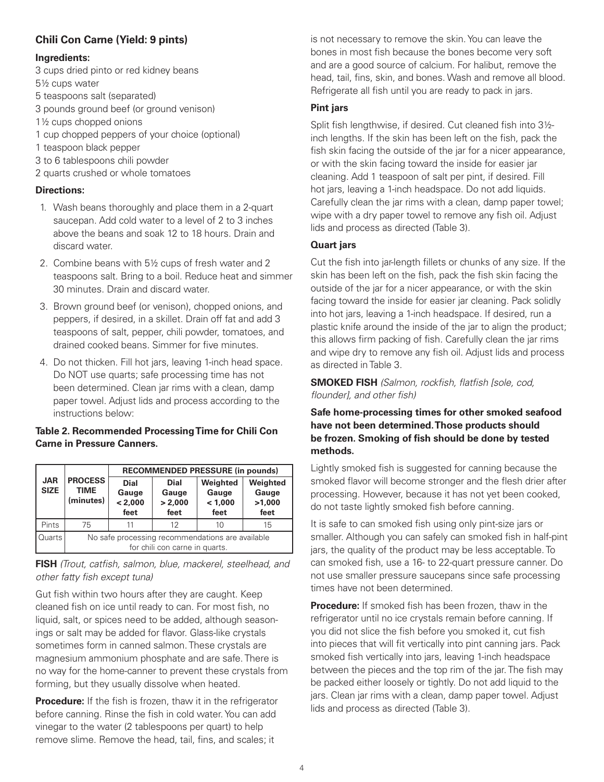## **Chili Con Carne (Yield: 9 pints)**

#### **Ingredients:**

- 3 cups dried pinto or red kidney beans 5½ cups water
- 5 teaspoons salt (separated)
- 3 pounds ground beef (or ground venison)
- 1½ cups chopped onions
- 1 cup chopped peppers of your choice (optional)
- 1 teaspoon black pepper
- 3 to 6 tablespoons chili powder
- 2 quarts crushed or whole tomatoes

## **Directions:**

- 1. Wash beans thoroughly and place them in a 2-quart saucepan. Add cold water to a level of 2 to 3 inches above the beans and soak 12 to 18 hours. Drain and discard water.
- 2. Combine beans with 5½ cups of fresh water and 2 teaspoons salt. Bring to a boil. Reduce heat and simmer 30 minutes. Drain and discard water.
- 3. Brown ground beef (or venison), chopped onions, and peppers, if desired, in a skillet. Drain off fat and add 3 teaspoons of salt, pepper, chili powder, tomatoes, and drained cooked beans. Simmer for five minutes.
- 4. Do not thicken. Fill hot jars, leaving 1-inch head space. Do NOT use quarts; safe processing time has not been determined. Clean jar rims with a clean, damp paper towel. Adjust lids and process according to the instructions below:

## **Table 2. Recommended Processing Time for Chili Con Carne in Pressure Canners.**

|                           | <b>PROCESS</b><br><b>TIME</b><br>(minutes)                                         | <b>RECOMMENDED PRESSURE (in pounds)</b> |                                         |                                      |                                     |  |  |
|---------------------------|------------------------------------------------------------------------------------|-----------------------------------------|-----------------------------------------|--------------------------------------|-------------------------------------|--|--|
| <b>JAR</b><br><b>SIZE</b> |                                                                                    | <b>Dial</b><br>Gauge<br>< 2,000<br>feet | <b>Dial</b><br>Gauge<br>> 2,000<br>feet | Weighted<br>Gauge<br>< 1,000<br>feet | Weighted<br>Gauge<br>>1,000<br>feet |  |  |
| Pints                     | 75                                                                                 | 11                                      | 12                                      | 10                                   | 15                                  |  |  |
| <b>Quarts</b>             | No safe processing recommendations are available<br>for chili con carne in quarts. |                                         |                                         |                                      |                                     |  |  |

## **FISH** *(Trout, catfish, salmon, blue, mackerel, steelhead, and other fatty fish except tuna)*

Gut fish within two hours after they are caught. Keep cleaned fish on ice until ready to can. For most fish, no liquid, salt, or spices need to be added, although seasonings or salt may be added for flavor. Glass-like crystals sometimes form in canned salmon. These crystals are magnesium ammonium phosphate and are safe. There is no way for the home-canner to prevent these crystals from forming, but they usually dissolve when heated.

**Procedure:** If the fish is frozen, thaw it in the refrigerator before canning. Rinse the fish in cold water. You can add vinegar to the water (2 tablespoons per quart) to help remove slime. Remove the head, tail, fins, and scales; it

is not necessary to remove the skin. You can leave the bones in most fish because the bones become very soft and are a good source of calcium. For halibut, remove the head, tail, fins, skin, and bones. Wash and remove all blood. Refrigerate all fish until you are ready to pack in jars.

## **Pint jars**

Split fish lengthwise, if desired. Cut cleaned fish into 3½ inch lengths. If the skin has been left on the fish, pack the fish skin facing the outside of the jar for a nicer appearance, or with the skin facing toward the inside for easier jar cleaning. Add 1 teaspoon of salt per pint, if desired. Fill hot jars, leaving a 1-inch headspace. Do not add liquids. Carefully clean the jar rims with a clean, damp paper towel; wipe with a dry paper towel to remove any fish oil. Adjust lids and process as directed (Table 3).

## **Quart jars**

Cut the fish into jar-length fillets or chunks of any size. If the skin has been left on the fish, pack the fish skin facing the outside of the jar for a nicer appearance, or with the skin facing toward the inside for easier jar cleaning. Pack solidly into hot jars, leaving a 1-inch headspace. If desired, run a plastic knife around the inside of the jar to align the product; this allows firm packing of fish. Carefully clean the jar rims and wipe dry to remove any fish oil. Adjust lids and process as directed in Table 3.

**SMOKED FISH** *(Salmon, rockfish, flatfish [sole, cod, flounder], and other fish)*

### **Safe home-processing times for other smoked seafood have not been determined. Those products should be frozen. Smoking of fish should be done by tested methods.**

Lightly smoked fish is suggested for canning because the smoked flavor will become stronger and the flesh drier after processing. However, because it has not yet been cooked, do not taste lightly smoked fish before canning.

It is safe to can smoked fish using only pint-size jars or smaller. Although you can safely can smoked fish in half-pint jars, the quality of the product may be less acceptable. To can smoked fish, use a 16- to 22-quart pressure canner. Do not use smaller pressure saucepans since safe processing times have not been determined.

**Procedure:** If smoked fish has been frozen, thaw in the refrigerator until no ice crystals remain before canning. If you did not slice the fish before you smoked it, cut fish into pieces that will fit vertically into pint canning jars. Pack smoked fish vertically into jars, leaving 1-inch headspace between the pieces and the top rim of the jar. The fish may be packed either loosely or tightly. Do not add liquid to the jars. Clean jar rims with a clean, damp paper towel. Adjust lids and process as directed (Table 3).